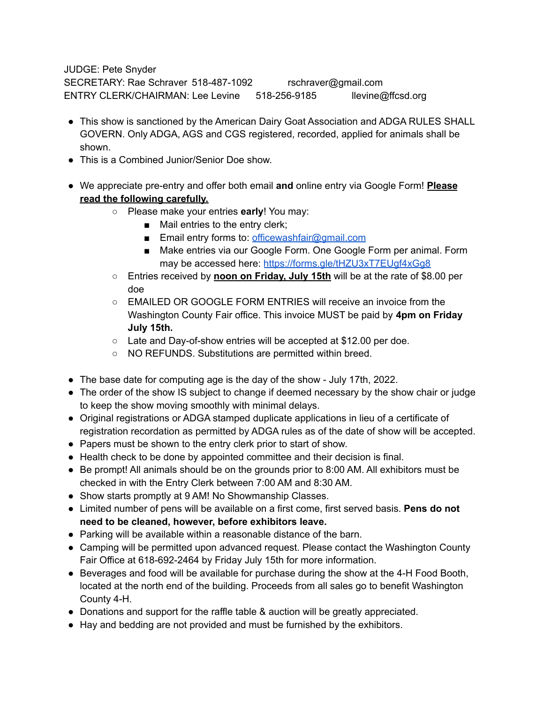JUDGE: Pete Snyder SECRETARY: Rae Schraver 518-487-1092 rschraver@gmail.com ENTRY CLERK/CHAIRMAN: Lee Levine 518-256-9185 llevine@ffcsd.org

- This show is sanctioned by the American Dairy Goat Association and ADGA RULES SHALL GOVERN. Only ADGA, AGS and CGS registered, recorded, applied for animals shall be shown.
- This is a Combined Junior/Senior Doe show.
- We appreciate pre-entry and offer both email **and** online entry via Google Form! **Please read the following carefully.**
	- Please make your entries **early**! You may:
		- Mail entries to the entry clerk;
		- Email entry forms to: [officewashfair@gmail.com](mailto:officewashfair@gmail.com)
		- Make entries via our Google Form. One Google Form per animal. Form may be accessed here: <https://forms.gle/tHZU3xT7EUgf4xGg8>
	- Entries received by **noon on Friday, July 15th** will be at the rate of \$8.00 per doe
	- EMAILED OR GOOGLE FORM ENTRIES will receive an invoice from the Washington County Fair office. This invoice MUST be paid by **4pm on Friday July 15th.**
	- Late and Day-of-show entries will be accepted at \$12.00 per doe.
	- NO REFUNDS. Substitutions are permitted within breed.
- The base date for computing age is the day of the show July 17th, 2022.
- The order of the show IS subject to change if deemed necessary by the show chair or judge to keep the show moving smoothly with minimal delays.
- Original registrations or ADGA stamped duplicate applications in lieu of a certificate of registration recordation as permitted by ADGA rules as of the date of show will be accepted.
- Papers must be shown to the entry clerk prior to start of show.
- Health check to be done by appointed committee and their decision is final.
- Be prompt! All animals should be on the grounds prior to 8:00 AM. All exhibitors must be checked in with the Entry Clerk between 7:00 AM and 8:30 AM.
- Show starts promptly at 9 AM! No Showmanship Classes.
- Limited number of pens will be available on a first come, first served basis. **Pens do not need to be cleaned, however, before exhibitors leave.**
- Parking will be available within a reasonable distance of the barn.
- Camping will be permitted upon advanced request. Please contact the Washington County Fair Office at 618-692-2464 by Friday July 15th for more information.
- Beverages and food will be available for purchase during the show at the 4-H Food Booth, located at the north end of the building. Proceeds from all sales go to benefit Washington County 4-H.
- Donations and support for the raffle table & auction will be greatly appreciated.
- Hay and bedding are not provided and must be furnished by the exhibitors.